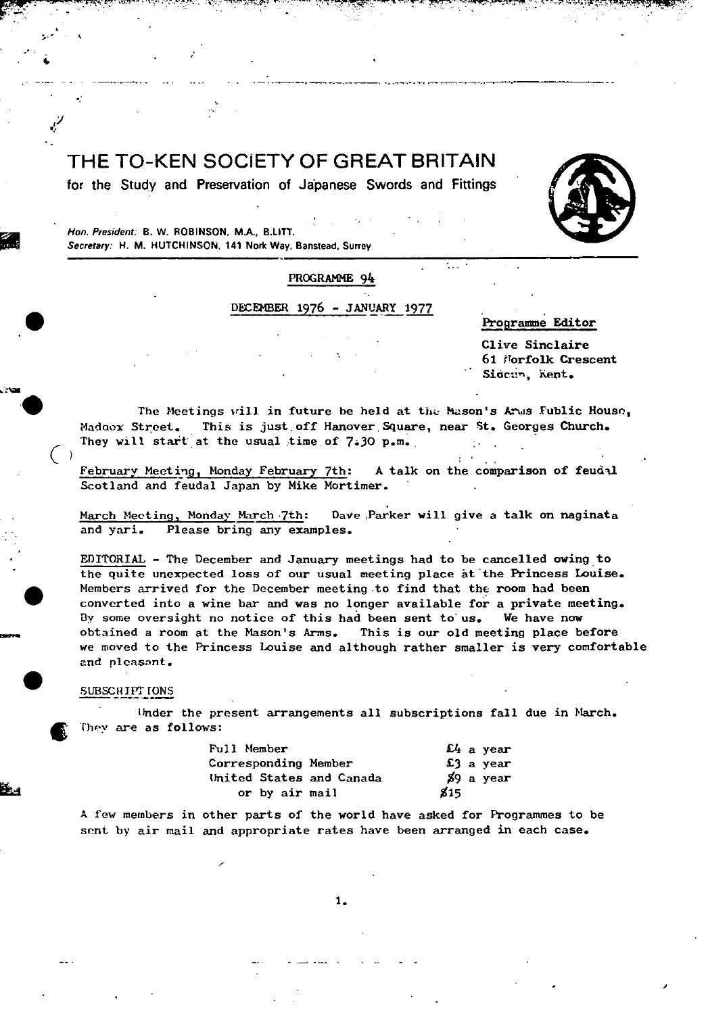THE TO-KEN SOCIETY OF GREAT BRITAIN

-.

**for the Study and Preservation of Japanese Swords and Fittings** 



I

Hon. President: **B. W. ROBINSON. M.A., B.LI1T. Secretary: H. M. HUTCHINSON, 141 Nork Way, Banstead, Surrey** 

-'

# PROGRAMME 94

# DECEMBER 1976 - JANUARY 1977

Programme Editor

Clive Sinclaire 61 Norfolk Crescent Sideun, Kent.

The Meetings vill in future be held at the Mason's Arms Fublic House, Madoox Street. This is just off Hanover Square, near St. Georges Church. They will start at the usual time of  $7.30$  p.m.

February Meeting, Monday February 7th: A talk on the comparison of feudal Scotland and feudal Japan by Mike Mortimer.

March Meeting, Monday March 7th: Dave Parker will give a talk on naginata and yari. Please bring any examples.

EDITORIAL - The December and January meetings had to be cancelled owing to the quite unexpected loss of our usual meeting place at the Princess Louise. • Members arrived for the December meeting to find that the room had been converted into a wine bar and was no longer available for a private meeting. By some oversight no notice of this had been sent to us. We have now obtained a room at the Mason's Arms. This is our old meeting place before we moved to the Princess Louise and although rather smaller is very comfortable and pleasant.

#### SUBSCRIPT IONS

 $(\ )$ 

Under the present arrangements all subscriptions fall due in March. They are as follows:

| Full Member              | $\mathfrak{L}_4$ a vear |
|--------------------------|-------------------------|
| Corresponding Member     | $£3$ a year             |
| United States and Canada | %9 a year               |
| or by air mail           | 815                     |

A few members in other parts of the world have asked for Programmes to be sent by air mail and appropriate rates have been arranged in each case.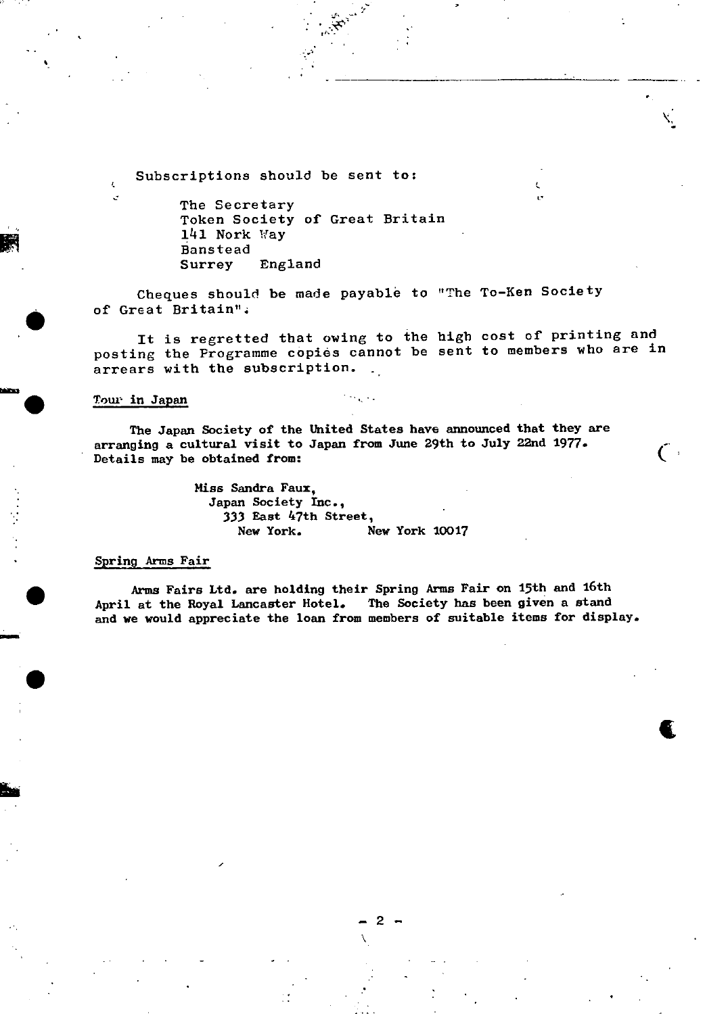Subscriptions should be sent to;

The Secretary Token Society of Great Britain 141 Nork Way Bans tead Surrey England

Cheques should be made payable to "The To-Ken Society of Great Britain"4

It is regretted that owing to the high cost of printing and posting the Programme copies cannot be sent to members who are in arrears with the subscription.

#### Tour in Japan

**r** 

**sna** .

 $\bullet$ 

The Japan Society of the United States have announced that they are arranging a cultural visit to Japan from June 29th to July 22nd 1977.  $\frac{1}{2}$  betails may be obtained from:

> Miss Sandra Faux, Japan Society Inc., 333 East 47th Street, **New York.** New York 10017

#### Spring Arms Fair

 $-2-$ 

Arms Fairs Ltd. are holding their Spring Arms Fair on 15th and 16th<br>April at the Royal Lancaster Hotel. The Society has been given a stand The Society has been given a stand and we would appreciate the loan from members of suitable items for display.

**t**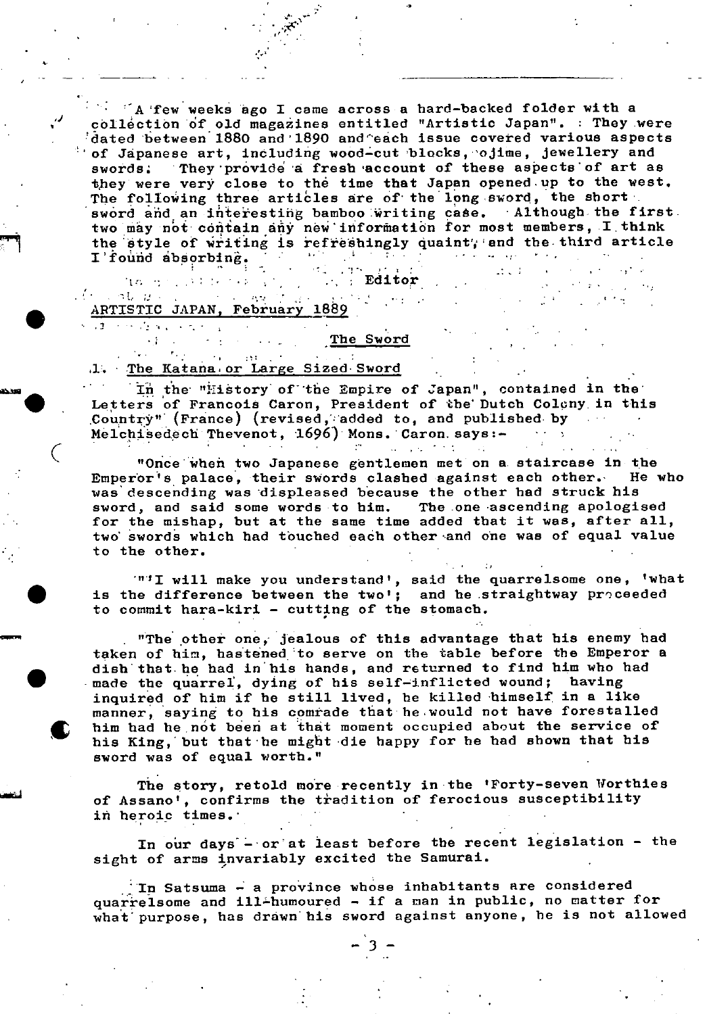r'A few weeks ago I came across a hard-backed folder with a collection of old magazines entitled "Artistic Japan". : They were :dated between 1880 and 1890 and'eich issue covered various aspects  $\pm$  of Japanese art, including wood-cut blocks, ojime, jewellery and swords. They provide a fresh account of these aspects of art as they were very close to the time that Japan opened up to the west. The following three articles are of the long sword, the short. sword and an interesting bamboo writing case. Although the first. two may not contain any new information for most members, I think the style of writing is refreshingly quaint, and the third article  $I$  found absorbing. I'found absorbing.  $22.1\%$ Editor .  $\mathbf{A}^{(1)}$  and

 $\sim 10^{-1}$ 

 $\sim 10^{11}$ 

 $\sim$  10

 $\sim$ 

# THE RESEARCH STREET ARTISTIC JAPAN, February 1889  $\mathcal{A}(\cdot)$  , at  $\langle u \rangle$

**Contract** 

 $\sim 10^{-10}$ الولية المتعاد

 $\bullet$  ...

# The Sword

# .1. The Katana or Large Sized Sword

In the "History of the Empire of Japan", contained in the Letters of Francois Caron, President of the' Dutch Colcny. **in this**  Country" (France) (revised, added to, and published by Melchisedech Thevenot, 1696) Mons. Caron. says:-

• "Once'wheñ two Japanese gentlemen met on a- staircase **in** the Emperor's palace, their swords clashed against each other. He who was descending was displeased because the other had struck his sword, and said some words to him. The .one -ascending apologised for the mishap, but at the same time added that it was, after all, two' swords which had touched each other and one was of equal value to the other.

'"'I will make you understand', said the quarrelsome one, 'what is the difference between the two'; and he straightway proceeded to commit hara-kiri - cutting of the stomach.

"The other one,' jealous of this advantage that his enemy had taken of him, hastened to serve on the table before the Emperor a . dish that he had in'his hands, and returned to find him who had -made the quarre]., dying of his self-inflicted wound; having inquired of him if he still lived, he killed himself in a like manner, saying to his comrade that-hewould not have forestalled him had he,nót been at that moment occupied about the service of his King, but that he might die happy for he had shown that his sword was of equal worth."

The story, retold more recently in the 'Forty-seven Worthies of Assano', confirms the tradition of ferocious susceptibility in heroic times.

In our days - or at least before the recent legislation - the sight of arms invariably excited the Samurai.

In Satsuma  $-$  a province whose inhabitants are considered quarrelsome and ill-humoured - if a man in public, no matter for • what' purpose, has drawn' his sword against anyone, he is not allowed

 $-3-$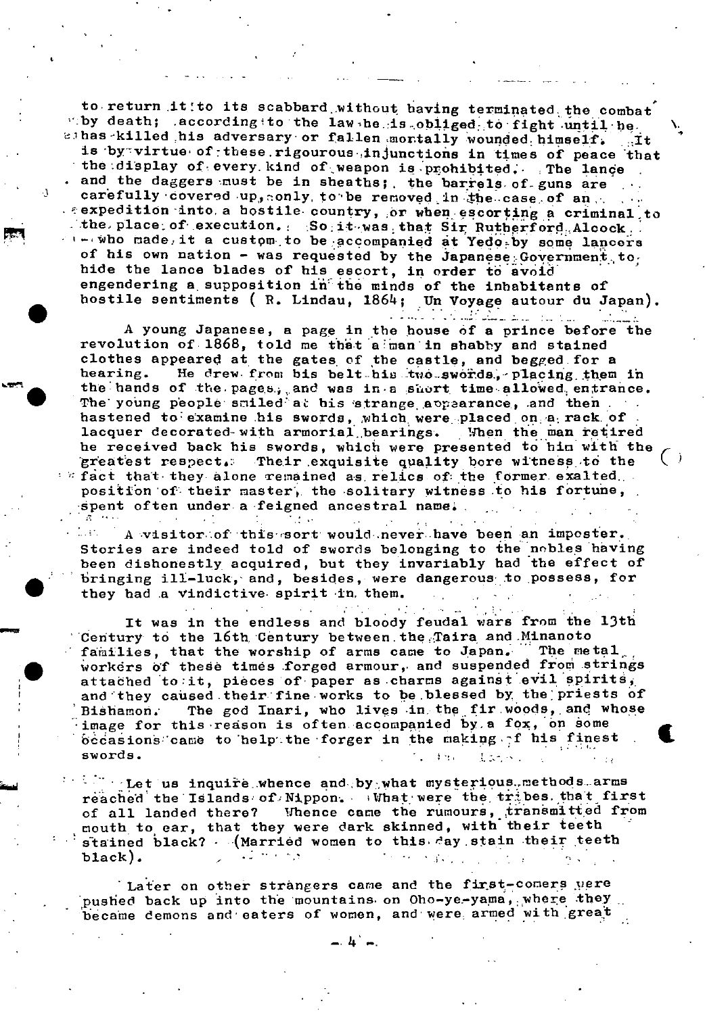to return it to its scabbard without having terminated the combat "by death; .according to the law he is obliged to fight until he. sihas killed his adversary or fallen montally wounded himself. it is by virtue of these rigourous injunctions in times of peace that the display of every kind of weapon is prohibited. The lance and the daggers must be in sheaths; the barrels of guns are  $\sim 100$  km  $^{-1}$ carefully covered up, conly to be removed in the case of an rexpedition into a bostile country, or when escorting a criminal to . the place of execution. So it was that Sir Rutherford Alcock. who made it a custom to be accompanied at Yedo by some lancers of his own nation - was requested by the Japanese Government to, hide the lance blades of his escort, in order to avoid engendering a supposition in the minds of the inhabitants of hostile sentiments (R. Lindau, 1864; Un Voyage autour du Japan). Andra da Andra Colombia (1996-1992)

A young Japanese, a page in the house of a prince before the<br>revolution of 1868, told me that a man in shabby and stained clothes appeared at the gates of the castle, and begged for a He drew from bis belt his two swords, placing them in hearing. the hands of the pages, and was in a short time allowed entrance. The young people suiled at his strange appearance, and then hastened to examine his swords, which were placed on a rack of lacquer decorated-with armorial bearings. When the man retired he received back his swords, which were presented to him with the Their exquisite quality bore witness to the greatest respect.  $n$  fact that they alone remained as relics of the former exalted. position of their master, the solitary witness to his fortune, spent often under a feigned ancestral name.

A visitor of this sort would never have been an imposter. D. BN Stories are indeed told of swords belonging to the nobles having been dishonestly acquired, but they invariably had the effect of bringing ill-luck, and, besides, were dangerous to possess, for they had a vindictive spirit in them.

 $\mathcal{L}^{\text{max}}_{\text{max}}$ 

 $\sim 1$ 

 $\gamma_{\rm c} = 0.1$ 

It was in the endless and bloody feudal wars from the 13th Century to the 16th Century between the Taira and Minanoto families, that the worship of arms came to Japan. The metal workers of these times forged armour, and suspended from strings attached to it, pieces of paper as charms against evil spirits, and they caused their fine works to be blessed by the priests of The god Inari, who lives in the fir woods, and whose Bishamon. image for this reason is often accompanied by a fox, on some occasions came to help the forger in the making I his finest swords. ∄nes ままかべく

 $\mathbb{R}^n$  . Let us inquire whence and by what mysterious methods arms reached the Islands of Nippon. What were the tribes that first of all landed there? Whence came the rumours, transmitted from mouth to ear, that they were dark skinned, with their teeth stained black? - (Married women to this day stain their teeth  $black).$ ورجاء بمائي  $\mathcal{A}=\mathcal{A}^{\mathcal{A}}$  , where  $\mathcal{A}$ 

Later on other strangers came and the first-comers were pushed back up into the mountains on Oho-ye-yama, where they became demons and eaters of women, and were armed with great

 $-4<sup>2</sup>$   $-1$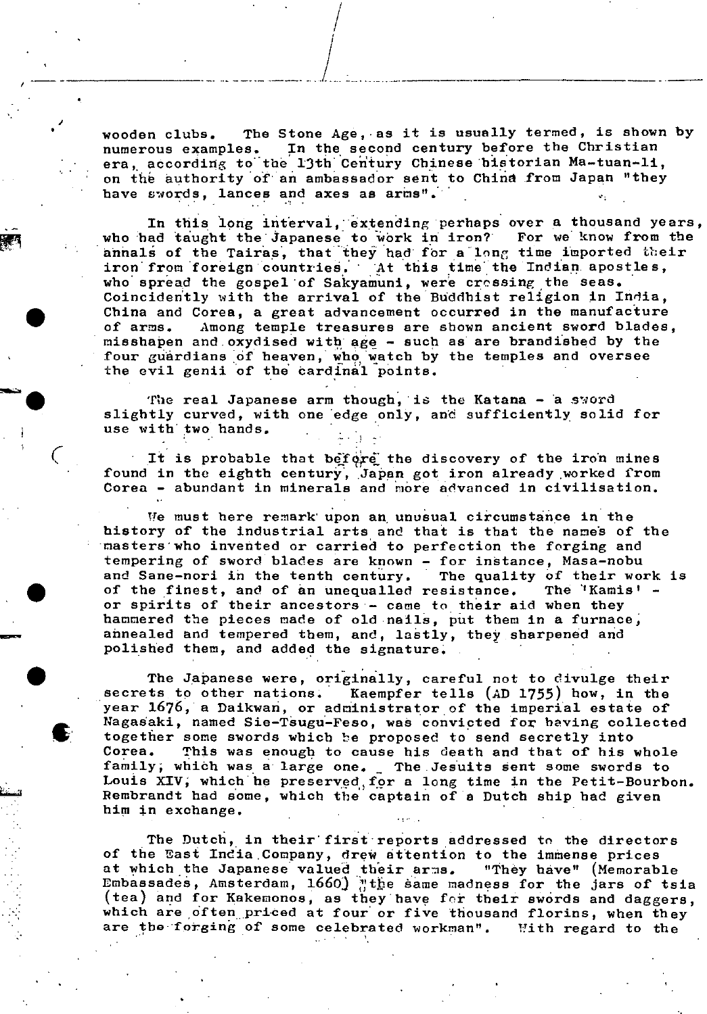wooden clubs. The Stone Age, as it is usually termed, is shown by<br>numerous examples. In the second century before the Christian numerous examples. In the second century before the Christian era, according to the 13th Century Chinese historian Ma-tuan-li, on the authority of an ambassador sent to China from Japan "they have swords, lances and axes as arms".

•

**S** 

 $\zeta_{\pm}$ 

 $\bullet$ 

/

 $\frac{1}{2}$ 

In this long interval, extending perhaps over a thousand years,<br>ad taught the Japanese to work in iron? For we know from the who had taught the Japanese to work in iron? annals of the Tairas, that they had for a long time imported their iron from foreign countries. At this time the Indian apostles, who spread the gospel of Sakyamuni, were cressing the seas. Coincidently with the arrival of the Buddhist religion in India, China and Corea, a great advancement occurred in the manufacture of arms. Among temple treasures are shown ancient sword blades, misshapen and.oxydised with age - such as are brandished by the four guardians of heaven, whé watch by the temples and oversee the evil genii of the cardinal points.

The real Japanese arm though, is the Katana - a sword slightly curved, with one 'edge only, and sufficiently solid for use with two hands.

It is probable that before the discovery of the iron mines found in the eighth century, Japan got iron already worked from Corea - abundant in minerals and more advanced in civilisation.

We must here remark upon an unusual circumstance in the history of the industrial arts and that is that the names of the nasters'who invebted or carried to perfection the forging and tempering of sword blades are known - for instance, Masa-nobu and Sane-nori in the tenth century. The quality of their work is of the finest, and of an unequalled resistance. The 'Kamis' or spirits of their ancestors'- came to their aid when they hammered the pieces made of old nails, put them in a furnace, annealed and tempered them, and, lastly, they sharpened and polished them, and added the signature.

The Japanese were, originally, careful not to divulge their secrets to other nations. Kaempfer tells (AD 1755) how, in the year 1676, a Daikwan, or administrator of the imperial estate of Nagasaki, named Sie-Tsugu-Feso, was convicted for having collected together some swords which be proposed to send secretly into Corea. This was enough to cause his death and that of his whole family; which was a large one. The Jesuits sent some swords to Louis XIV, which he preserved, for a long time In the Petit-Bourbon. Rembrandt had some, which the captain of's Dutch ship had given him in exchange.

The Dutch, in their first reports addressed to the directors of the East India,Company, drew attention to the immense prices at which the Japanese valued their arms. "They have" (Memorable Embassades, Amsterdam,  $1660$ ) "the same madness for the jars of tsia  $\sim$  (tea) and for Kakemonos, as they have for their swords and daggers, which are often priced at four or five thousand florins, when they are the forging of some celebrated workman". With regard to the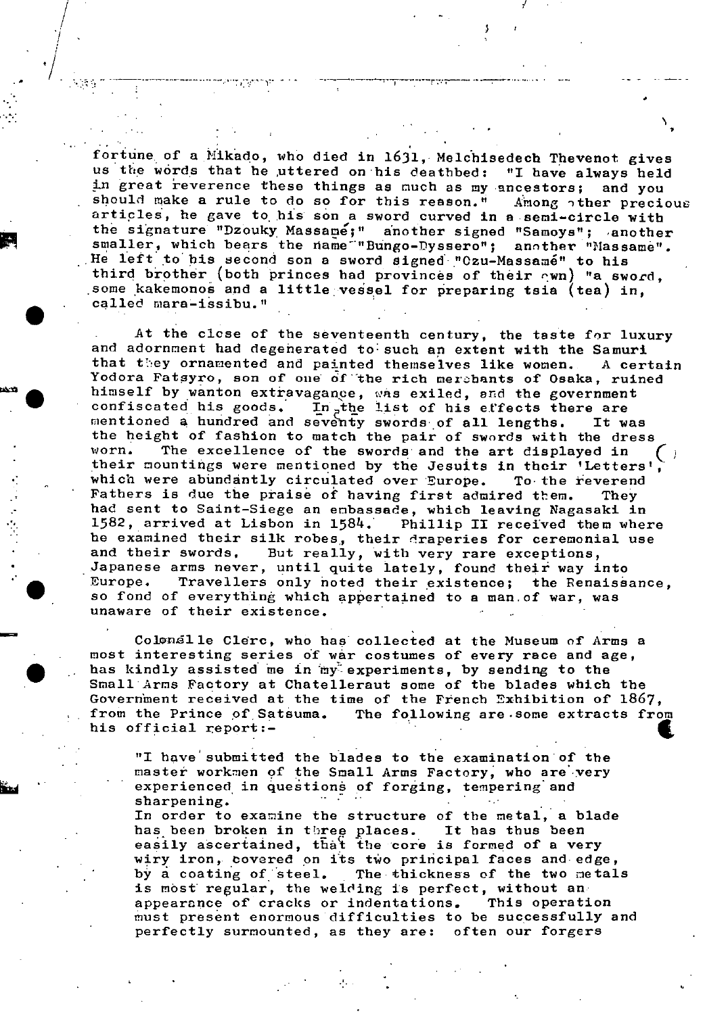fortune of a Mikado, who died in 1631, Melchisedech Thevenot gives us the words that he uttered on his deathbed: "I have always held in great reverence these things as much as my ancestors; and you should make a rule to do so for this reason." Among other precious articles, he gave to his san a sword curved **in** a semi-circle with the signature "Dzouky Massame;" another signed "Samoys"; another smaller, which bears the name "Bungo-Dyssero"; another "Massame". He left to his second son a sword signed "Czu-Massamé" to his third brother (both princes had provinces of their  $c$ wn) "a sword, some kakemonos and a little vessel for preparing tsia (tea) in, called mara-issibu."

At the close of the seventeenth century, the taste for luxury and adornment had degenerated to such an extent with the Samuri that they ornamented and painted themselves like women. A certain Yodora Fatsyro, son of one of the rich merebants of Osaka, ruined himself by wanton extravagance, was exiled, and the government confiscated his goods. In the list of his effects there are mentioned a hundred and seventy swords of all lengths. It was the height of fashion to match the pair of swords with the dress<br>worn. The excellence of the swords and the art displayed in their mountings were mentioned by the Jesuits in their 'Letters' which were abundantly circulated over Europe. To the reverend Fathers is due the praise of having first admired them. They had sent to Saint-Siege an enbassade, which leaving Nagasaki in 1582, arrived at Lisbon in 1584. Phillip II received them where he examined their silk robes, their draperies for ceremonial use and their swords. But really, with very rare exceptions, Japanese arms never, until quite lately, found their way into<br>Europe. Travellers only noted their existence; the Renaissance, so fond of everything which appertained to a man.of war, was unaware of their existence,

Colonelle Clerc, who has collected at the Museum of Arms a most interesting series of war costumes of every race and age, has kindly assisted me in my experiments, by sending to the Small Arms Factory at Chatelleraut some of the blades which the Government received at the time of the French Exhibition of 1867, from the Prince of Satsuma. The following are.some extracts from his official report:-

"I have submitted the blades to the examination of the<br>master workmen of the Small Arms Factory, who are very<br>experienced in questions of forging, tempering and<br>sharpening.<br>In order to examine the structure of the metal, a master workmen of the Small Arms Factory, who are very experienced, in questions of forging, tempering and

In order to examine the structure of the metal, a blade has been broken in three places. It has thus been easily ascertained, that the core is formed of a very wiry iron, covered on its two principal faces and edge,<br>by a coating of steel. The thickness of the two metal The thickness of the two metals is most regular, the welding is perfect, without an appearance of cracks or indentations. This operation must present enormous difficulties to be successfully and perfectly surmounted, as they are: often our forgers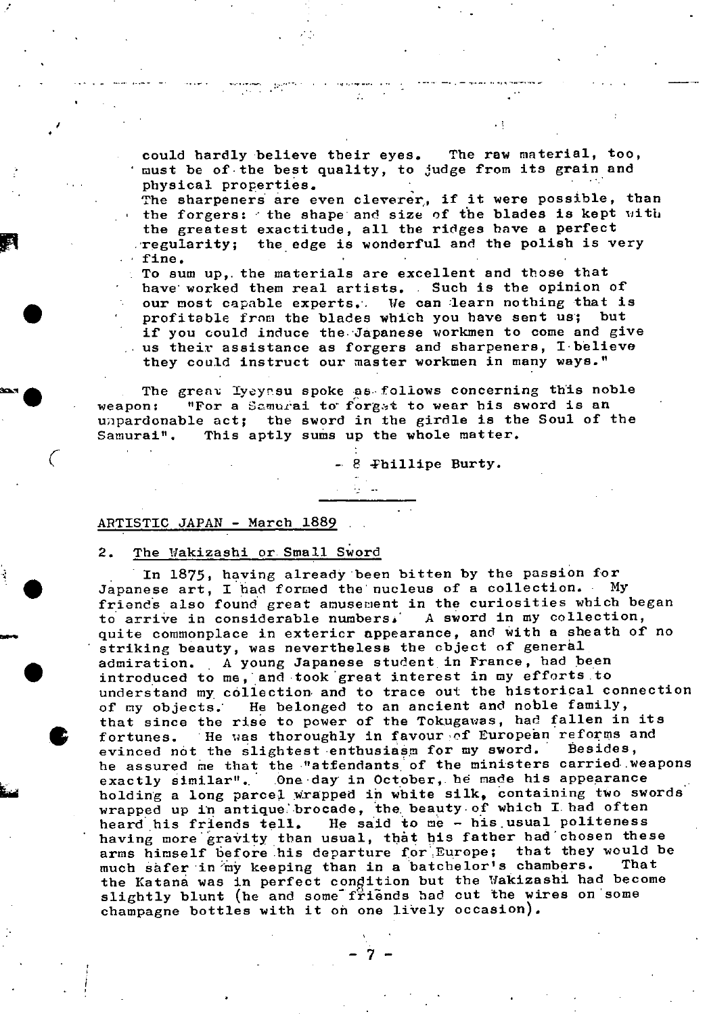could hardly believe their eyes. The raw material, too, must be of the best quality, to judge from its grain and physical properties.

The sharpeners are even cleverer, if it were possible, than the forgers: ' the shape and size of the blades is kept with the greatest exactitude, all the ridges have a perfect  $T$  regularity; the edge is wonderful and the polish is very • fine.

• To sum up,. the materials are excellent and those that have worked them real artists. Such is the opinion of our most capable experts. We can learn nothing that is profitable from the blades which you have sent us; but if you could induce the. Japanese workmen to come and give  $\therefore$  us their assistance as forgers and sharpeners, I believe they could instruct our master workmen in many ways."

The great Iyeyssu spoke as follows concerning this noble weapon: "For a Samurai to forget to wear his sword is an unpardonable act; the sword in the girdle is the Soul of the Samurai". This aptly sums up the whole matter.

- 8 Phillipe Burty.

# ARTISTIC JAPAN - March 1889

 $\bullet$ 

# 2. The Wakizashi or Small Sword

 $\mathbb{R}^n$ 

In 1875, having already been bitten by the passion for Japanese art, I had formed the nucleus of a collection. . My friends also found great amusement in the curiosities which began<br>to arrive in considerable numbers. A sword in my collection, to arrive in considerable numbers. quite commonplace in extericr appearance, and with a sheath of no striking beauty, was nevertheless the object of general admiration. A young Japanese student in France, had been introduced to me, and took great interest in my efforts .to understand my collection and to trace out the historical connection of my objects; He belonged to an ancient and noble family, that since the rise to power of the Tokugawas, had fallen in its fortunes. He was thoroughly in favour of European reforms and<br>evinced not the slightest enthusiasm for my sword. Besides, evinced not the slightest enthusiasm for my sword. he assured me that the "atfendants of the ministers carried weapons exactly similar". One day in October, he made his appearance holding a long parcel wrapped in white silk, containing two swords wrapped up in antique brocade, the beauty of which I had often heard his friends tell. He said to me - his.usual politeness having more gravity than usual, that his father had chosen these arms himself before his departure for Europe; that they would be much safer in my keeping than in a batchelor's chambers. That the Katana was in perfect condition but the Wakizashi had become slightly blunt (he and some friends had cut the wires on some champagne bottles with it on one lively occasion).

 $-7-$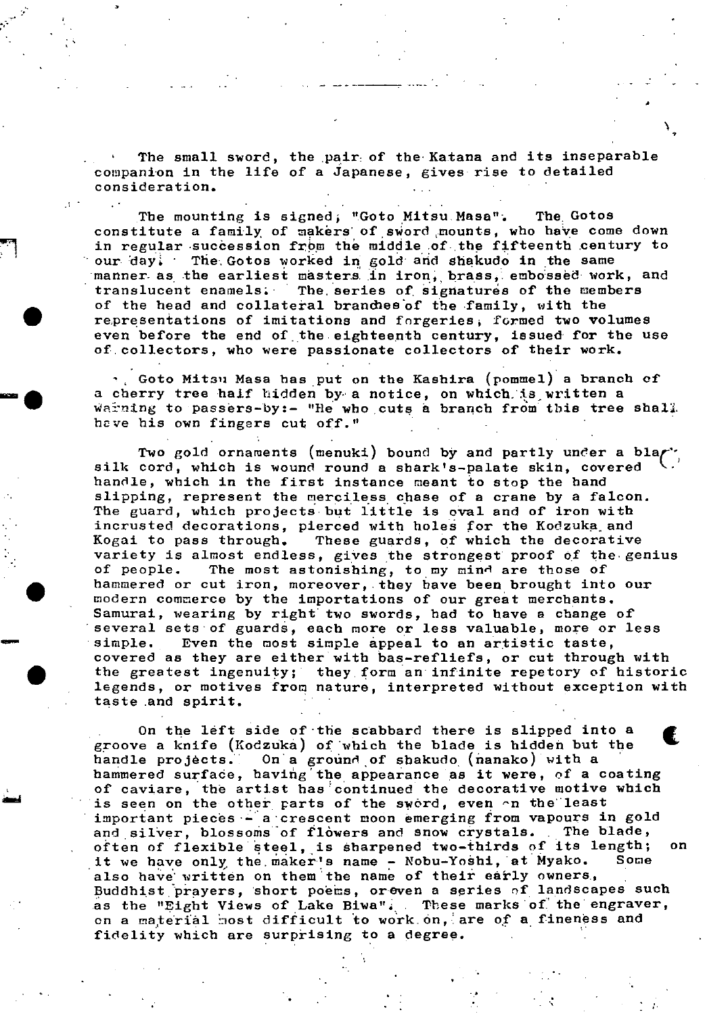The small sword, the pair: of the Katana and its inseparable companion in the life of a Japanese, gives rise to detailed consideration.

The mounting is signed; "Goto Mitsu Masa". The Gotos constitute a family of makers of sword mounts, who have come down in regular succession from the middle of the fifteenth century to our day. The Gotos worked in gold and shakudo in the same manner as the earliest masters in iron, brass, embossed work, and translucent enamels. The series of signatures of the members of the head and collateral branches of the family, with the representations of imitations and fnrgeries, formed two volumes even before the end of the eighteenth century, issued for the use of.collectors, who were passionate collectors of their work.

 $\cdot$ , Goto Mitsu Masa has put on the Kashira (pommel) a branch of a cherry tree half hidden by a notice, on which is written a waining to passers-by:- "He who cuts a branch from this tree shall. have his own fingers cut off."

Two gold ornaments (menuki) bound by and partly under a black silk cord, which is wound round a shark's-palate skin, covered handle, which **in** the first instance meant to stop the hand slipping, represent the merciless chase of a crane by a falcon. The guard, which projects but little is oval and of iron with incrusted decorations, pierced with holes for the Kodzuka and Kogai to pass through. These guards, of which the decorative variety is almost endless, gives the strongest proof of the-genius of people. The most astonishing, to my mind are those of hammered or cut iron, moreover, they have been brought into our modern commerce by the importations of our great merchants. Samurai, wearing by right two swords, had to have a change of several sets of guards, each more or less valuable, more or less<br>simple. Even the most simple appeal to an artistic taste, covered as they are either with bas-refliefs, or cut through with the greatest ingenuity; they form an infinite repetory of historic • legends, or motives from nature, interpreted without exception with taste and spirit.

> On the left side of 'the scabbard there is slipped into a groove a knife (Kodzuka) of which the blade is hidden but the handle projects. On a ground of shakudo (nanako) with a hammered surface, having the appearance as it were, of a coating of caviare, the artist has continued the decorative motive which<br>is seen on the other parts of the sword, even  $\cap$ n the least important pieces - a crescent moon emerging from vapours in gold and silver, blossoms of flòwers and snow crystals. The blade, often of flexible steel, is sharpened two-thirds of its length; on<br>it we have only the maker's name - Nobu-Yoshi, at Myako. Some it we have only the maker's name - Nobu-Yoshi, at Myako. also have written on them the name of their early owners, Buddhist prayers, short poems, oreven a series of landscapes such as the "Eight Views of Lake Biwa". These marks of the engraver, on a material most difficult to work on, are of a fineness and fidelity which are surprising to a degree.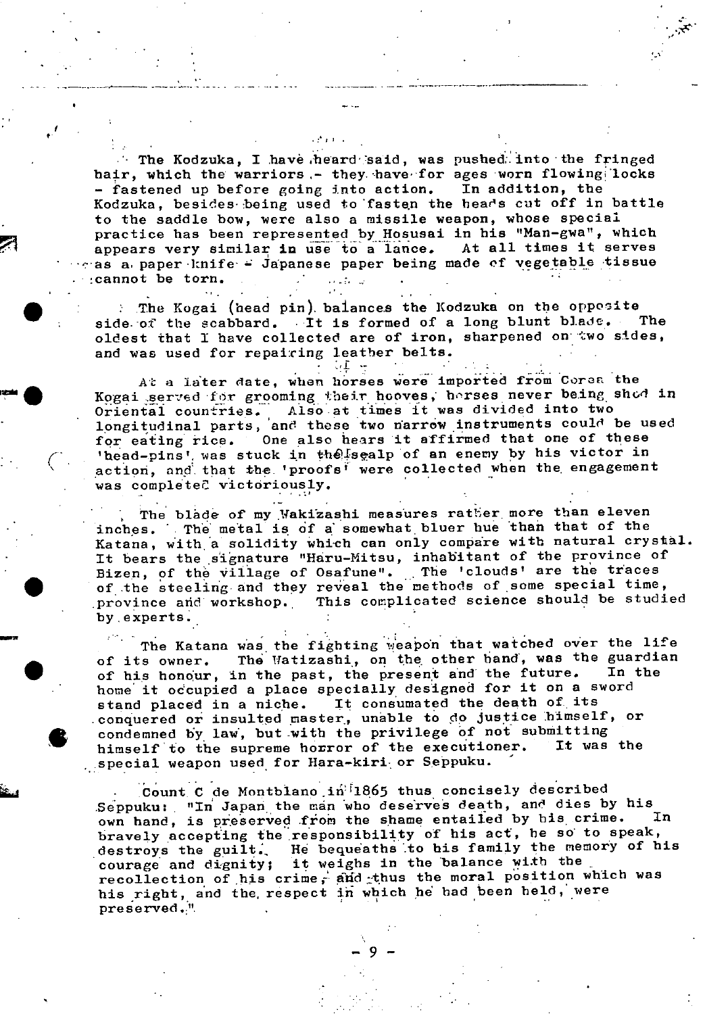The Kodzuka, I have heard said, was pushed: into the fringed hair, which the warriors – they have for ages worn flowing locks – fastened up before going into action. In addition, the - fastened up before going into action. Kodzuka, besides being used to fasten the hears cut off in battle to the saddle bow, were also a missile weapon, whose special practice has been represented by Hosusai in his "Man-gwa", which<br>appears very similar in use to a lance. At all times it serves appears very similar in use to a lance. • as a paper knife- Japanese paper being made of vegetable tissue cannot be torn.

: The Kogai (head pin) balances the Kodzuka on the opposite<br>le of the scabbard. . It is formed of a long blunt blade. . The side of the scabbard. It is formed of a long blunt blade. oldest that I have collected are of iron, sharpened on two sides, and was used for repairing leather belts.

At a later date, when horses were imported from Corea the Kogai served for grooming their hooves, horses never being shod in Oriental countries. Also at times it was divided into two difficult countines. This at these two narrow instruments could be used for eating rice. One also hears it affirmed that one of these 'head-pins' was stuck in the sealp of an enemy by his victor in action, and that the 'proofs' were collected when the engagement was complete? victoriously.

The blade of my Wakizashi measures ratter more than eleven inches. The metal is of a somewhat bluer hue than that of the Katana, with a solidity which can only compare with natural crystal. It bears the signature "Haru-Mitsu, inhabitant of the province of It bears the signature "Haru-Mitsu, indubitant of the province of<br>Bizen, of the village of Osafune". The 'clouds' are the traces bizen, of the viriage of osailine. The experience are received the steeling and they reveal the methods of some special time, province and workshop. This complicated science should be studied by. experts.

The Katana was the fighting weapon that watched over the life by experts.<br>The Katana was the fighting weapon that watched over the life<br>of its owner. The Watizashi, on the other hand, was the guardian<br>of his honour, in the past, the present and the future. In the of its owner. The Watizashi, on the other hand, was the guardian<br>of his honour, in the past, the present and the future. In the home it occupied a place specially designed for it on a sword stand placed in a niche. It consumated the death of. its conquered or insulted master, unable to do justice himself, or condemned by law, but with the privilege of not submitting<br>himself to the supreme horror of the executioner. It was the himself to the supreme horror of the executioner. • special weapon used for Hara-kiri or Seppuku.

> Count C de Montblano in<sup>11</sup>1865 thus concisely described Seppuku: "In Japan the man who deserves death, and dies by his own hand, is preserved from the shame entailed by his crime. bravely accepting the responsibility of his act, he so to speak, destroys the guilt. He bequeaths to his family the memory of h He bequeaths to his family the memory of his courage and dignity; it weighs in the balance with the recollection of his crime, and thus the moral position which was recollection of his crime, and rough the moral position was  $\frac{1}{2}$  preserved.<sup>1</sup>. •  $\frac{1}{2}$  . •  $\frac{1}{2}$  . •  $\frac{1}{2}$  . •  $\frac{1}{2}$  . •  $\frac{1}{2}$  . •  $\frac{1}{2}$  . •  $\frac{1}{2}$

> > $-9-$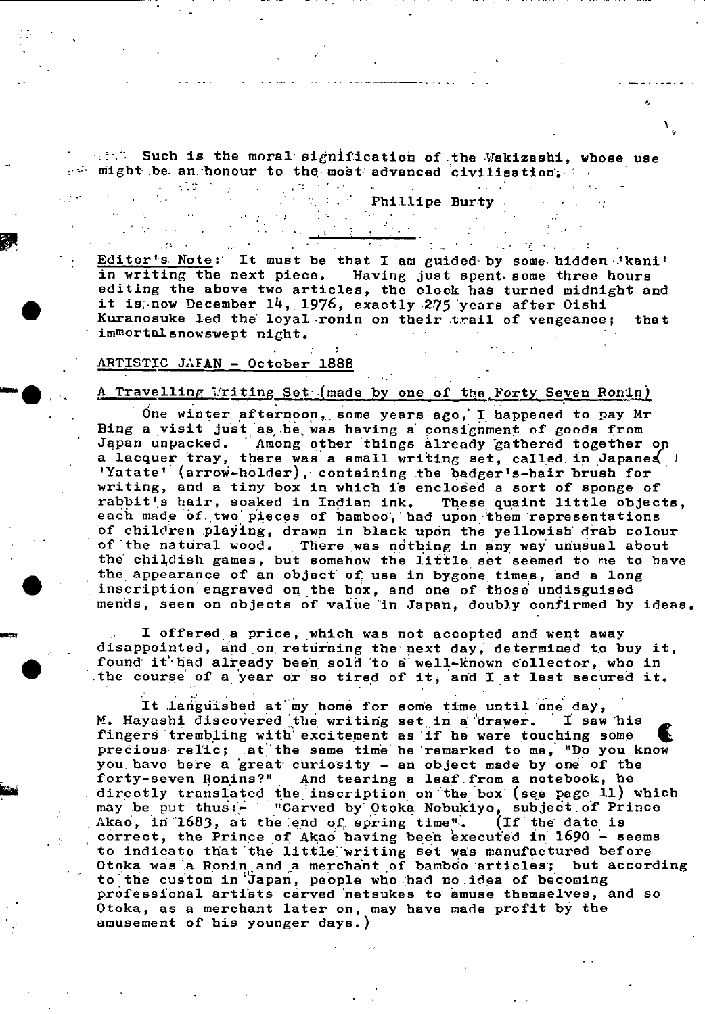stan. Such is the moral signification of the Wakizashi, whose use and might be an honour to the most advanced civilisation.

 $\mathbf{r}$ 

Editor's Note: It must be that I am guided by some hidden 'kani' in writing the next piece. Having just spent- some three hours editing the above two articles, the clock has turned midnight and Editor's Note: It must be that I am guided by some hidden 'kani'<br>in writing the next piece. Having just spent some three hours<br>editing the above two articles, the clock has turned midnight and<br>it is now December 14, 1976, immortal snowswept night.

Phillipe Burty .

#### ARTISTIC JAFAN - October 1888

 $\mathbf{r}_i$  .  $\mathbf{r}_i$ 

# A Travelling Writing Set (made by one of the Forty Seven Ronin)

One winter afternoon, some years ago, I happened to pay Mr Bing a visit just as he was having a consignment of goods from Japan unpacked. Among other things already gathered together op a lacquer tray, there was a small writing set, called in Japaned 'Yatate' (arrow-holder), containing the badger's-hair brush for writing, and a tiny box in which is enclosed a sort of sponge of rabbit's hair, soaked in Indian ink. These quaint little objects, each made of two pieces of bamboo, had upon them representations *of* children plajing, drawn in black upon the yellowish' drab colour of the natural wood. There was nothing in any way unusual about the childish games, but somehow the little set seemed to me to have the appearance of an object of use in bygone times, and a long the childish games, but somehow the little set seemed to me to<br>the appearance of an object of use in bygone times, and a long<br>inscription engraved on the box, and one of those undisguised<br>mends, seen on objects of value in mends, seen on objects of value in Japan, doubly confirmed by ideas.

I offered a price, which was not accepted and went away disappointed, and on returning the next day, determined to buy it, I offered a price, which was not accepted and went away<br>disappointed, and on returning the next day, determined to buy if<br>found it had already been sold to a well-known collector, who in<br>the course of a year or so tired of the course of a year or so tired of it, and I at last secured it.

It languished at my home for some time until one day,<br>yashi discovered the writing set in a drawer. I saw his M. Hayashi discovered the writing set in a drawer. fingers trembling with excitement as if he were touching some precious reflc; at the same time he 'remarked to me, "Do you know you, have here a 'great' curiosity - an object made by one of the forty-seven Ronins?" , And tearing a leaf from a notebook, be forty-seven Ronins?" And tearing a leaf from a notebook, he directly translated the inscription on the box (see page 11) which may be put thus:- "Carved by Otoka Nobukiyo, subject of Prince Akao, in 1683, at the end of spring time". (If the date is correct, the Prince of Akao having been executed in  $1690 -$  seems to indicate that the little'writing set ws manufactured before Co indicate that the intitle writing set was manufactured before<br>Otoka was a Ronin and a merchant of bamboo articles; but according to the custom in Japan, people who had no idea of becoming professional artists carved netsukes to amuse themselves, and so Otoka, as a merchant later on, may have made profit by the amusement of **his** younger days.)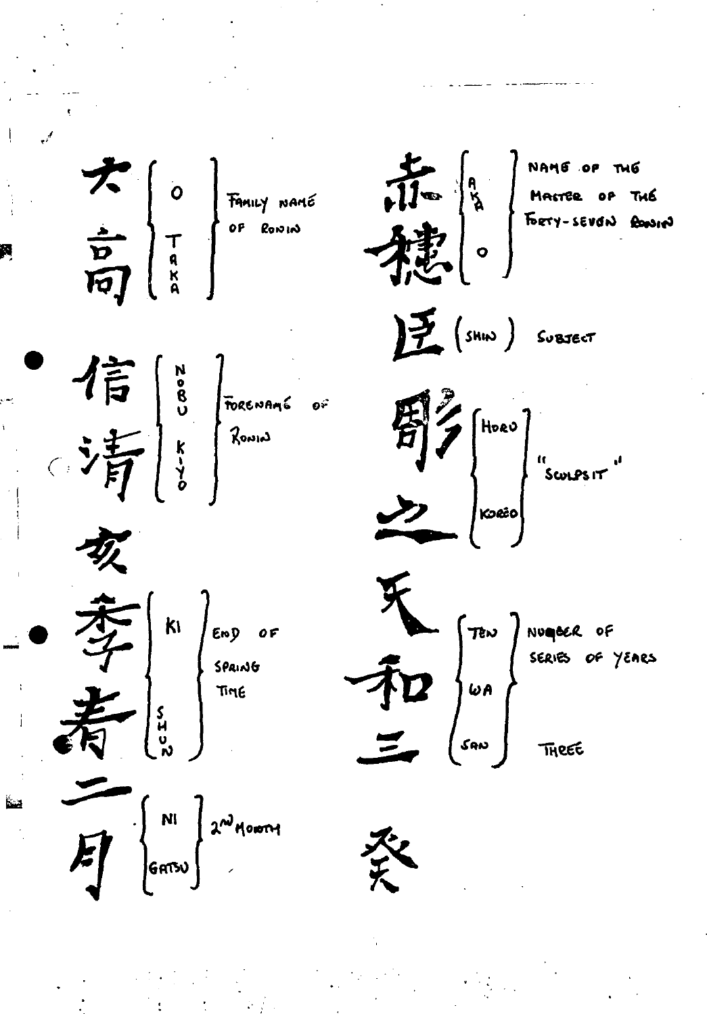$\frac{1}{\sqrt{16}}$   $\begin{bmatrix} 9 \\ 10 \\ 10 \end{bmatrix}$  NAME OF THE  $\frac{1}{\sqrt{2}}\begin{bmatrix} 0 \\ 0 \\ 0 \\ 0 \end{bmatrix}$  Fancy NAME  $E(\sin \theta)$  Suestect  $\frac{1}{\sqrt{\frac{1}{H}}}\begin{bmatrix} \frac{N}{8} \\ \frac{1}{8} \\ \frac{1}{8} \end{bmatrix}$  TORENAME OF  $\begin{bmatrix} 1/2 \\ 1/2 \end{bmatrix}$  (Hoav)<br>  $\begin{bmatrix} 1/2 \\ 1/2 \end{bmatrix}$  (SCOLPS IT) TRIV TRIV DIVIDER OF YEARS<br>
SAID JUA<br>
SAID JUA<br>
THREE  $\frac{1}{\sqrt{\frac{1}{N}}}\begin{bmatrix}k_1\\ \frac{1}{N}\end{bmatrix}$  Eng of  $\int_{\text{GATSU}}$   $\left\{\begin{array}{c} N! \\ 2^{n^3} \text{Moo}^{n+1} \end{array}\right\}$ 癸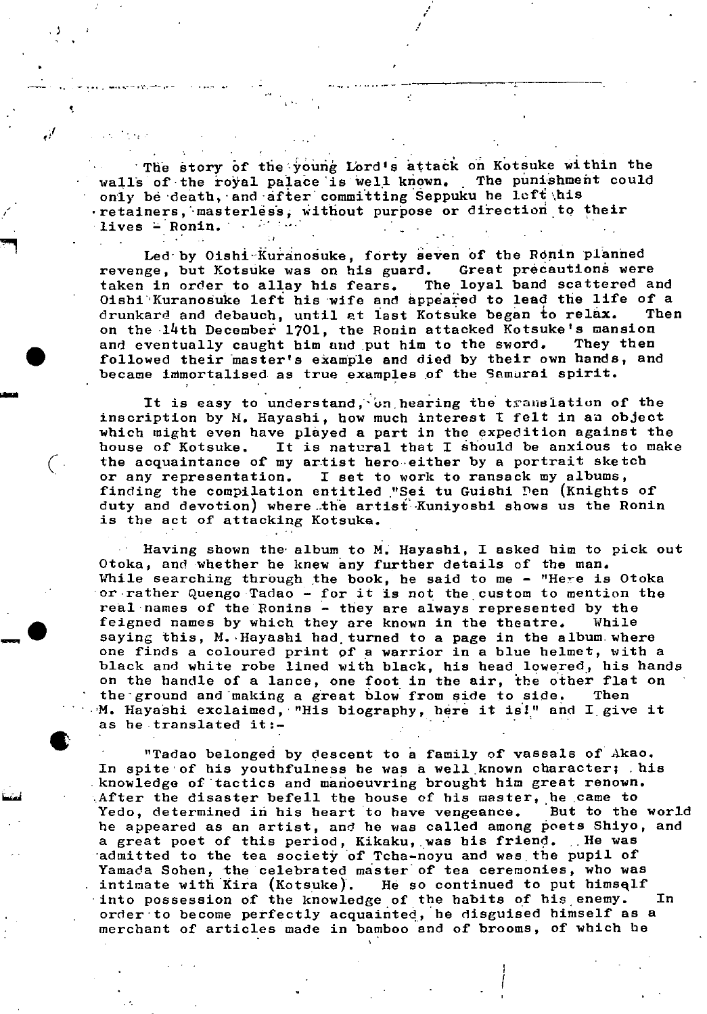The story of the young Lord's attack on Kotsuke within the walls of the royal palace is well known. The punishment could only be death, and after committing Seppuku he left his retainers, masterless, without purpose or direction to their lives - Ronin. . . . . . .

S

t

 $\mathbf{q}_{\mathrm{max}}$  , and the set of the set of the set of the set of the set of the set of the set of the set of the set of the set of the set of the set of the set of the set of the set of the set of the set of the set of the

I

Led by Oishi Kuranosuke, forty seven of the Ronin planned<br>ge, but Kotsuke was on his guard. Great precautions were revenge, but Kotsuke was on his guard. taken in order to allay his fears. The loyal band scattered and Oishi Kuranosuke left his wife and appeared to lead the life of a drunkard and debauch, until at last Kotsuke began to relax. Then on the  $14$ th December 1701, the Romin attacked Kotsuke's mansion<br>and eventually caught him and put him to the sword. They then and eventually caught him and put him to the sword. followed their master's example and died by their own hands, and became immortalised as true examples of the Samurai spirit.

It is easy to understand, on hearing the translation of the inscription by H. Hayashi, how much interest I felt in an object which might even have played a part in the expedition against the house of Kotsuke. It is natural that I éhould be anxious to make (the acquaintance of my artist heroeither by a portrait sketch or any representation. I set to work to ransack my albums, I set to work to ransack my albums, finding the compilation entitled "Sei tu Guishi Pen (Knights of duty and devotion) where the artist Kuniyoshi shows us the Ronin is the act of attacking Kotsuke.

Having shown the' album to N. Hayashi. I asked him to pick out Otoka, and whether he knew any further details of the man. While searching through the book, he said to me - "Here is Otoka  $\sigma$ -rather Quengo Tadao - for it is not the custom to mention the real names of the Ronins - they are always represented by the feigned names by which they are known in the theatre. While saying this, M. Hayashi had turned to a page in the album where one finds a coloured print of a warrior in a blue helmet, with a black and white robe lined with black, his head lowered, his hands on the handle of a lance, one foot in the air, 'the other flat on the'ground and 'making a great blow from side to side. Then M. Hayashi exclaimed, "His biography, here it is!" and I give it as he translated it:-

"Tadao belonged by descent to a family of vassals of Akao. In spite of his youthfulness he was a well known character; his knowledge of tactics and manoeuvring brought him great renown.  $\blacksquare$  After the disaster befell the house of his master, he came to Yedo, determined **in** his heart to have vengeance. But to the world he appeared as an artist, and he was called among poets Shiyo, and a great poet of this period, Kikaku, was his friend. He was admitted to the tea society of Tcha-noyu and was the pupil of Yamada Sohen, the celebrated master of tea ceremonies, who was - intimate with Kira (Kotsuke). He so continued to put himself into possession of the knowledge of the habits of his enemy. In order to become perfectly acquainted, he disguised himself as a merchant of articles made in bamboo and of brooms, of which he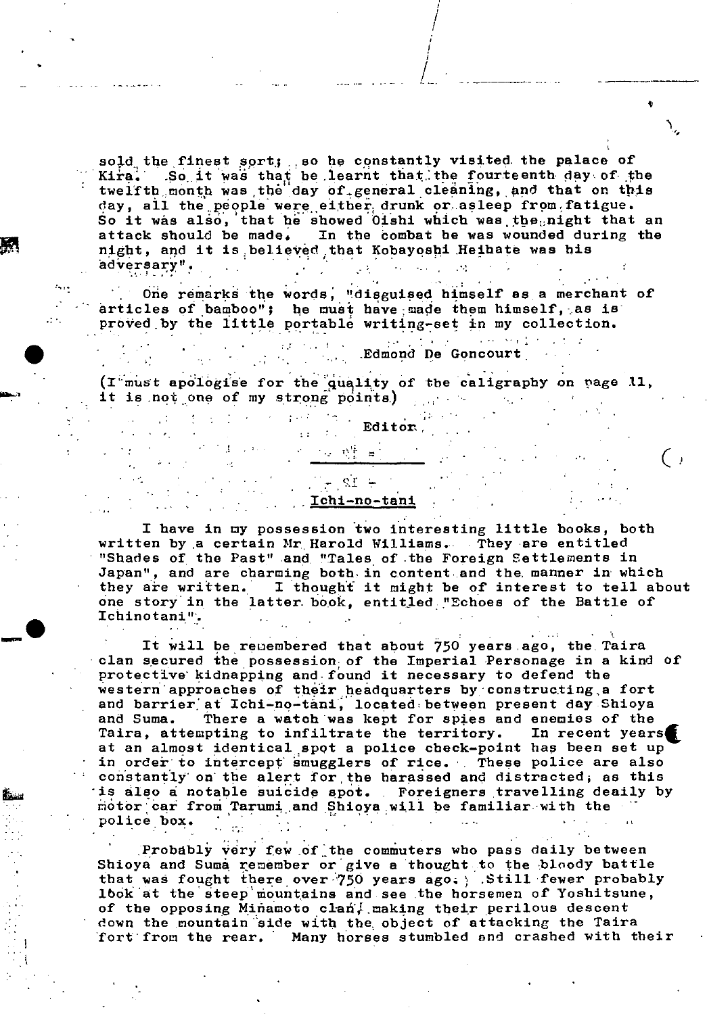sold the finest sort; so he constantly visited the palace of Kira. So it was that be learnt that the fourteenth day of the twelfth month was the day of general cleaning, and that on this day, all the people were either drunk or asleep from fatigue. So it was also, that he showed Oishi which was the  $_{\rm 0}$ night that an day, all the people were either drunk or asleep from fatigue.<br>So it was also, that he showed Oishi which was the night that an<br>attack should be made. In the combat he was wounded during the night, and it is believed that Kobayoshi Heihate was his adversary".

/ /

One remarks the words, "disguised himself as a merchant of articles of bamboo"; he must have made them himself, as is proved by the little portable writing-set in my collection.

 $\pm 2^{\circ}$  ,  $\pm 1.2$  ,  $\pm 0.1$  ,  $\pm$ 

( $I$ <sup>t</sup>must apologise for the quality of the caligraphy on page 11, it is not one of my strong points,)  $\label{eq:3.1} \frac{1}{2} \left( \frac{1}{2} \left( \frac{1}{2} \right) \right) \left( \frac{1}{2} \left( \frac{1}{2} \right) \right) \left( \frac{1}{2} \left( \frac{1}{2} \right) \right) \left( \frac{1}{2} \right) \left( \frac{1}{2} \right) \left( \frac{1}{2} \right) \left( \frac{1}{2} \right) \left( \frac{1}{2} \right) \left( \frac{1}{2} \right) \left( \frac{1}{2} \right) \left( \frac{1}{2} \right) \left( \frac{1}{2} \right) \left( \frac{1}{2$ 

Editor.

 $\sim 10^{-11}$ 

Edmond De Goncourt

 $\frac{1}{2}$  ,  $\frac{1}{2}$  ,  $\frac{1}{2}$  ,  $\frac{1}{2}$ 

المحاور ومحامدته

# $\pm$  12  $_{\odot}$  . Dichi-no-tani

7년 행동 비

I have in my possession two interesting little books, both written by ,a certain Mr Harold Williams.... They are entitled "Shades of the Past" and "Tales of .the Foreign Settlements in Japan", and are charming both in content and the manner in which they are written. I thought it might be of interest to tell about one story' in the latter. book, entitled. "Echoes of the Battle of Ichinotani".

It will be remembered that about 750 years ago, the Taira clan secured the possession of the Imperial Personage in a kind of protective' kidnapping and: found it necessary to defend the western approaches of their headquarters by constructing a fort and barrier at Ichi-no-tani, located between present day Shioya and Suma. There a watch was kept for spies and enemies of the Taira, attempting to infiltrate the territory. In recent years Taira, attempting to infiltrate the territory. at an almost identical spot a police check-point has been set up in order to intercept smugglers of rice. These police are also constantly on the alert for the harassed and distracted, as this is also a notable suicide spot. . Foreigners travelling deaily by motor car from Tarumi and Shioya will be familiar with the police box

Probably very few of the commuters who pass daily between Shioya and Suma remember or give a thought to the bloody battle that was fought there over 750 years ago, Still fewer probably lbok at the steep mountains and see the horsemen of Yoshitsune, of the opposing Minamoto clan  $\frac{1}{2}$ , making their perilous descent down the mountain side with the object of attacking the Taira fort'fron the rear. Many horses stumbled and crashed with their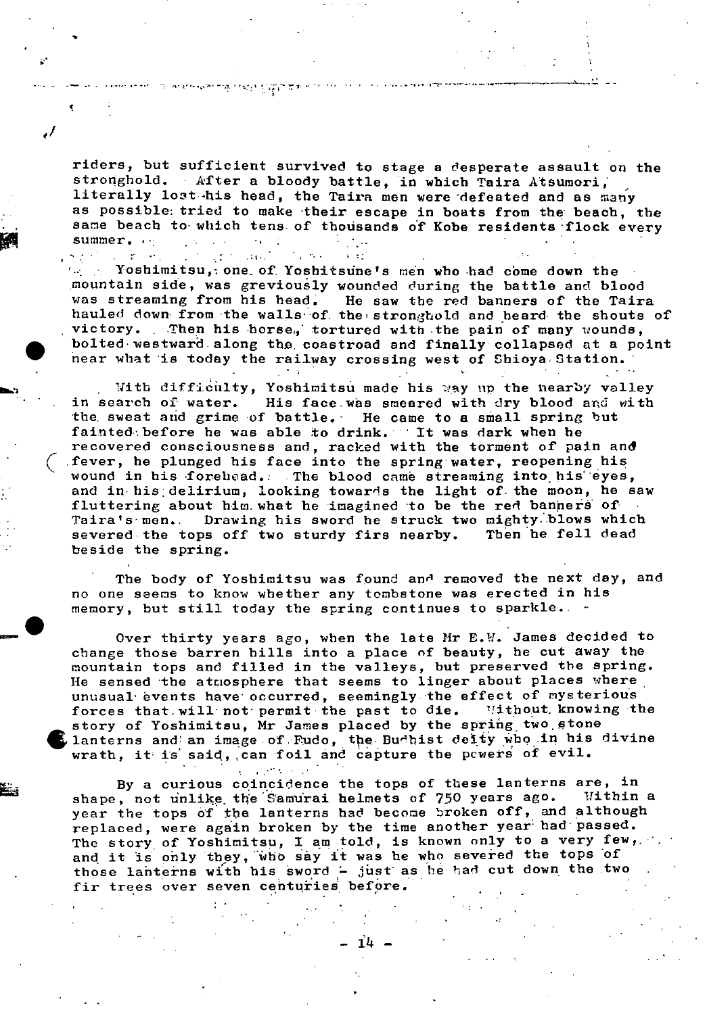riders, but sufficient survived to stage a desperate assault on the stronghold. After a bloody battle, in which Taira Atsumori, literally lost his head, the Taira men were 'defeated and as many as possible: tried to make their escape in boats from the beach, the same beach to which tens of thousands of Kobe residents flock every summer...  $\mathcal{L}^{\text{max}}_{\text{max}}$  and  $\mathcal{L}^{\text{max}}_{\text{max}}$  $\sigma_{\rm H} \simeq 0.1$ '

a ar

 $\mathcal{L}_{\mathrm{eff}}$  , where

 $\epsilon$  -  $^{-1}$ 

 $\mathcal{L} = \mathbf{r}^T \times \mathbf{r}^T$ 

ा अध्यतस्थलाम् एकते हिन्दा प्रश

 $\mathcal{L}(\mathcal{L}^{(1)})$  . Then

*'I* 

 $\sim$  Yoshimitsu, one of Yoshitsune's men who had come down the mountain side, was greviously wounded during the battle and blood was streaming from his head. He saw the red banners of the Taira hauled down from the walls of the stronghold and heard the shouts of victory. Then his horse, tortured with the pain of many wounds, . bolted'westward.along the, coastroad and finally collapsed at a point near what is today the railway crossing west of Shioya Station.

With difficulty, Yoshimitsu made his way up the nearby valley in search of water. His face.wàs smeared with dry blood and with the sweat and grime of battle. He came to a small spring but fainted before he was able to drink. ''It was dark when he recovered consciousness and, racked with the torment of pain and fever, he plunged his face into the spring water, reopening his wound in his forehead. The blood came streaming into his eyes, and in his delirium, looking towards the light of the moon, he saw fluttering about him. what he imagined to be the red banners of Taira's men.. Drawing his sword he struck two mighty.blows which<br>severed the tops off two sturdy firs nearby. Then he fell dead severed the tops off two sturdy firs nearby. beside the spring.

The body of Yoshimitsu was found and removed the next day, and no one seems to know whether any tombstone was erected in his memory, but still today the spring continues to sparkle..

Over thirty years ago, when the late Mr E.W. James decided to change those barren hills into a place of beauty, he cut away the mountain tops and filled in the valleys, but preserved the spring. He sensed the atmosphere that seems to linger about places where unusual' events have' occurred, seemingly the effect of mysterious forces that will not permit the past to die. "Ithout knowing the story of Yoshimitsu, Mr James placed by the spring two stone lanterns and an image of Fudo, the Budhist deity who in his divine wrath, it is said, can foil and capture the powers of evil.

 $\mathcal{L}_{\text{max}}$  , where  $\mathcal{L}_{\text{max}}$ 

By a curious coincidence the tops of these lanterns are, in<br>the not unlike the Samurai helmets of 750 years ago. Within a shape, not unlike the Samurai helmets of 750 years ago. year the tops of the lanterns had become broken off, and although replaced, were again broken by the time another year' had'passed. The story of Yoshimitsu, I am told, is known only to a very few, and it is only they, who say it was he who severed the tops 'of those lanterns with his sword - just as he had cut down the two fir trees over seven centuries before.

14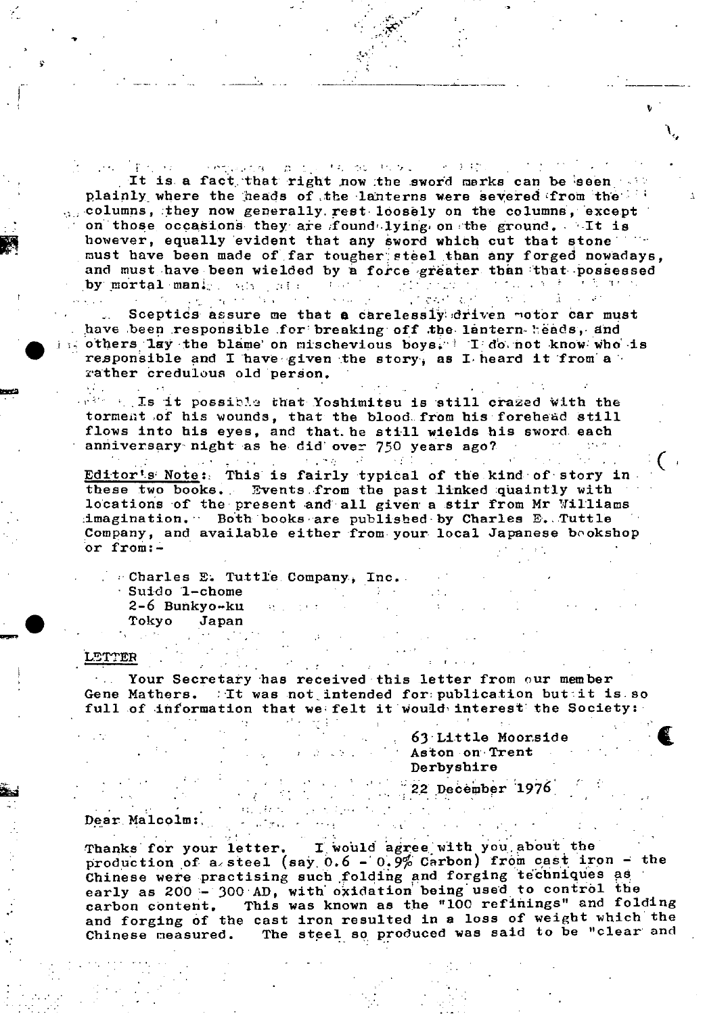completed and the control through the first It is a fact that right now the sword marks can be seen plainly where the heads of the lanterns were severed from the  $\alpha$ , columns, they now generally rest loosely on the columns, except on those occasions they are found lying on the ground. It is however, equally evident that any sword which cut that stone must have been made of far tougher steel than any forged nowadays. and must have been wielded by a force greater than that possessed  $\mathcal{A}$  and  $\mathcal{A}$  $\label{eq:2} \mathcal{L}^{\text{max}}_{\text{max}} = \mathcal{L}^{\text{max}}_{\text{max}}$ e gengan se 医无心室 医子宫 by mortal manigers and safe  $\epsilon_{\rm c}$  and s a con- $\mathcal{L}^{\mathcal{L}}$  , where  $\mathcal{L}^{\mathcal{L}}$  and  $\mathcal{L}^{\mathcal{L}}$ 

Sceptics assure me that a carelessly driven motor car must have been responsible for breaking off the lantern heads, and others lay the blame on mischevious boys. I do not know who is responsible and I have given the story, as I heard it from a rather credulous old person.

which Is it possible that Yoshimitsu is still crazed with the torment of his wounds, that the blood from his forehead still flows into his eyes, and that he still wields his sword each anniversary night as he did over 750 years ago?  $\sim 100$ 

 $\sim 10$ 

 $\mathcal{O}(\mathcal{O}_\mathcal{O})$ 

 $\mathcal{A}=\{x\in\mathcal{B}\}$  .

Editor's Note: This is fairly typical of the kind of story in these two books. Events from the past linked quaintly with locations of the present and all given a stir from Mr Williams imagination. Both books are published by Charles E. Tuttle Company, and available either from your local Japanese bookshop or from:-

"Charles E. Tuttle Company, Inc. Suido 1-chome  $2-6$  Bunkyo-ku Tokyo Japan

 $\sim 10^{-1}$ 

 $\sim 100$ 

**Tara** 

#### LETTER

 $\mathbf{v}^{(1)}$  .

Your Secretary has received this letter from our member Gene Mathers. Tt was not intended for publication buttit is so full of information that we felt it would interest the Society:

> 63 Little Moorside Aston on Trent Derbyshire

 $22$  December 1976

#### Dear Malcolm:

I would agree with you about the Thanks for your letter. production of a steel (say  $0.6 - 0.9\%$  Carbon) from cast iron - the Chinese were practising such folding and forging techniques as early as 200 - 300 AD, with oxidation being used to control the This was known as the "100 refinings" and folding carbon content. and forging of the cast iron resulted in a loss of weight which the The steel so produced was said to be "clear and Chinese measured.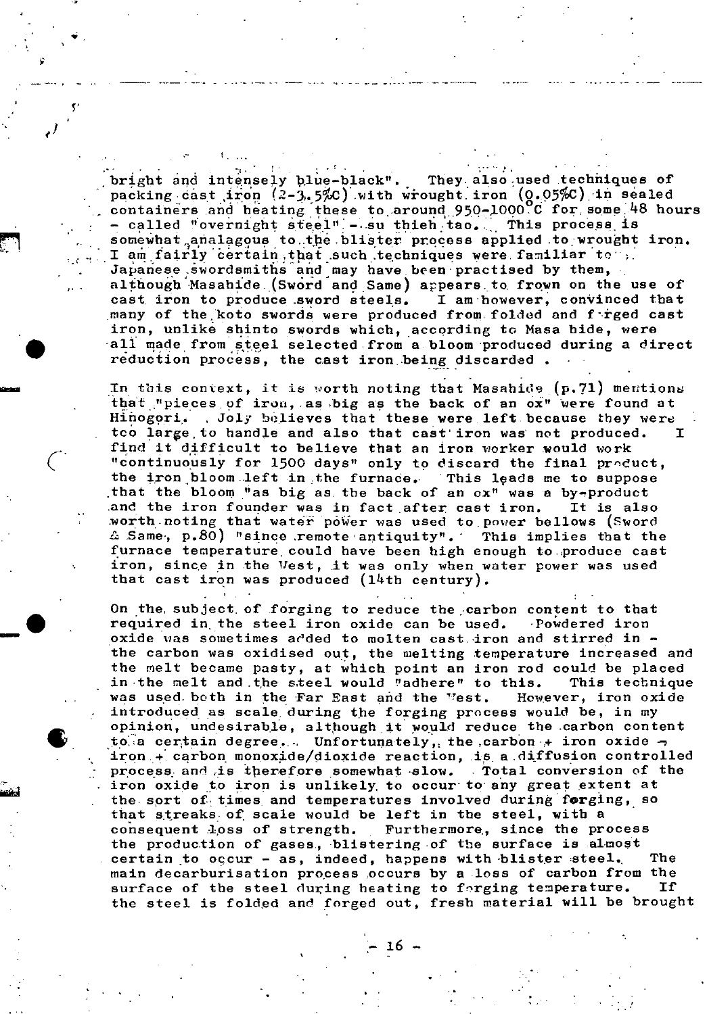bright and intensely blue-black". They also used techniques of packing cast iron  $(2-3.5\%)$  with wrought iron  $(0.05\%)$  in sealed containers and heating these to around 950-1000. C for some 48 hours called "overnight steel"  $-.$ su thieh tao... This process is somewhat analagous to the blister process applied to wrought iron. I am fairly certain, that such techniques were familiar to  $\frac{1}{2}$ . Japanese swordsmiths and may have been practised by them, although Masahide.(Sword and Same) appears to frown on the use of cast iron to produce sword steels. I am however, convinced that cast iron to produce sword steels. many of the koto swords were produced from folded and f-rged cast iron, unlike shinto swords which, according to Masa bide, were all made from steel selected from a bloom produced during a direct reduction process, the cast iron being discarded.

Σ,

 $\left($ 

 $\sim$ 

**id**  $\frac{1}{2}$ 

In this context, it is worth noting that Masahide  $(p.71)$  mentions that "pieces of iron, as big as the back of an ox" were found at Hinogori. Joly believes that these were left because they were too large to handle and also that cast iron was not produced. T find it difficult to believe that an iron worker would work "continuously for 1500 days" only to discard the final product, the Iron bloom.ieft in the furnace. This leads me to suppose • that the bloom "as big as, the back of an cx" was a by-product and the iron founder was in fact after cast iron. It is also worth noting that water power was used to power bellows (Sword  $\triangle$  Same, p.80) "since remote antiquity". This implies that the furnace temperature could have been high enough to.produce cast iron, since in the Vest, it was only when water power was used that cast iron was produced  $(14th$  century).

On the subject of forging to reduce the carbon content to that required in the steel iron oxide can be used. Powdered iron oxide was sometimes added to molten cast-iron and stirred in the carbon was oxidised out, the melting temperature increased and the melt became pasty, at which point an iron rod could be placed in the melt and the steel would "adhere" to this. This technique was used both in the Far East and the "est. However, iron oxide introduced as scale during the forging process would be, in my opinion, undesirable, although it would reduce the carbon content to a certain degree... Unfortunately, the carbon  $+$  iron oxide  $$ iron  $+$  carbon monoxide/dioxide reaction, is a diffusion controlled process and is therefore somewhat slow. Total conversion of the iron oxide to iron is unlikely, to occur to any great extent at the sort of times and temperatures involved during forging, so that streaks: of scale would be left in the steel, with a consequent loss of strength. Furthermore, since the process the production of gases., blistering of the surface is almost certain to occur - as, indeed, happens with blister steel. The main decarburisation process occurs by a loss of carbon from the<br>surface of the steel during heating to forging temperature. If surface of the steel during heating to forging temperature. the steel is folded and forged out, fresh material will be brought

— 16 -